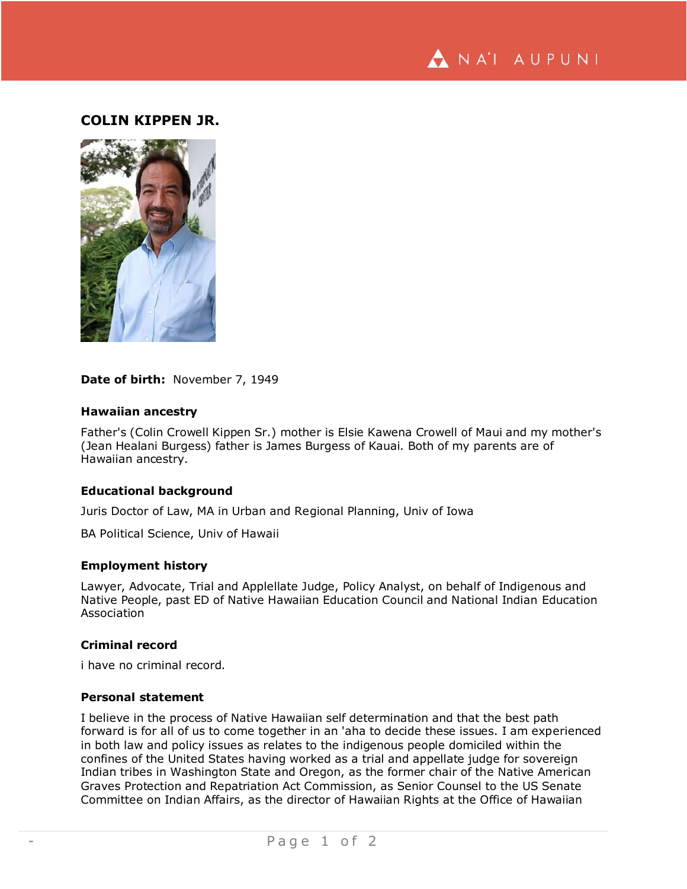

# **COLIN KIPPEN JR.**



**Date of birth:** November 7, 1949

### **Hawaiian ancestry**

Father's (Colin Crowell Kippen Sr.) mother is Elsie Kawena Crowell of Maui and my mother's (Jean Healani Burgess) father is James Burgess of Kauai. Both of my parents are of Hawaiian ancestry.

#### **Educational background**

Juris Doctor of Law, MA in Urban and Regional Planning, Univ of Iowa

BA Political Science, Univ of Hawaii

#### **Employment history**

Lawyer, Advocate, Trial and Applellate Judge, Policy Analyst, on behalf of Indigenous and Native People, past ED of Native Hawaiian Education Council and National Indian Education Association

## **Criminal record**

i have no criminal record.

## **Personal statement**

I believe in the process of Native Hawaiian self determination and that the best path forward is for all of us to come together in an 'aha to decide these issues. I am experienced in both law and policy issues as relates to the indigenous people domiciled within the confines of the United States having worked as a trial and appellate judge for sovereign Indian tribes in Washington State and Oregon, as the former chair of the Native American Graves Protection and Repatriation Act Commission, as Senior Counsel to the US Senate Committee on Indian Affairs, as the director of Hawaiian Rights at the Office of Hawaiian